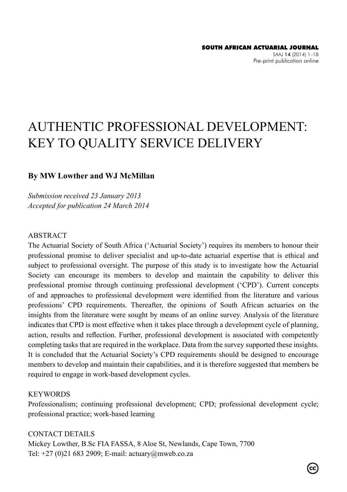# AUTHENTIC PROFESSIONAL DEVELOPMENT: KEY TO QUALITY SERVICE DELIVERY

### **By MW Lowther and WJ McMillan**

*Submission received 23 January 2013 Accepted for publication 24 March 2014*

#### ABSTRACT

The Actuarial Society of South Africa ('Actuarial Society') requires its members to honour their professional promise to deliver specialist and up-to-date actuarial expertise that is ethical and subject to professional oversight. The purpose of this study is to investigate how the Actuarial Society can encourage its members to develop and maintain the capability to deliver this professional promise through continuing professional development ('CPD'). Current concepts of and approaches to professional development were identified from the literature and various professions' CPD requirements. Thereafter, the opinions of South African actuaries on the insights from the literature were sought by means of an online survey. Analysis of the literature indicates that CPD is most effective when it takes place through a development cycle of planning, action, results and reflection. Further, professional development is associated with competently completing tasks that are required in the workplace. Data from the survey supported these insights. It is concluded that the Actuarial Society's CPD requirements should be designed to encourage members to develop and maintain their capabilities, and it is therefore suggested that members be required to engage in work-based development cycles.

#### **KEYWORDS**

Professionalism; continuing professional development; CPD; professional development cycle; professional practice; work-based learning

CONTACT DETAILS Mickey Lowther, B.Sc FIA FASSA, 8 Aloe St, Newlands, Cape Town, 7700 Tel: +27 (0)21 683 2909; E-mail: actuary@mweb.co.za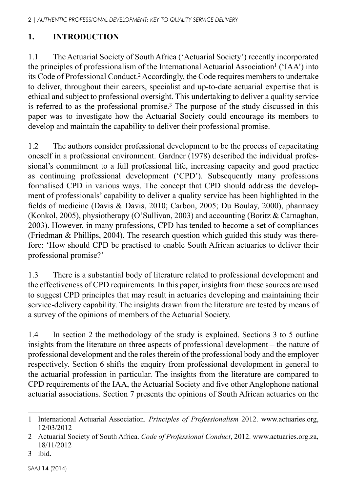# **1. INTRODUCTION**

1.1 The Actuarial Society of South Africa ('Actuarial Society') recently incorporated the principles of professionalism of the International Actuarial Association<sup>1</sup> (' $IAA$ ') into its Code of Professional Conduct.2 Accordingly, the Code requires members to undertake to deliver, throughout their careers, specialist and up-to-date actuarial expertise that is ethical and subject to professional oversight. This undertaking to deliver a quality service is referred to as the professional promise.<sup>3</sup> The purpose of the study discussed in this paper was to investigate how the Actuarial Society could encourage its members to develop and maintain the capability to deliver their professional promise.

1.2 The authors consider professional development to be the process of capacitating oneself in a professional environment. Gardner (1978) described the individual professional's commitment to a full professional life, increasing capacity and good practice as continuing professional development ('CPD'). Subsequently many professions formalised CPD in various ways. The concept that CPD should address the development of professionals' capability to deliver a quality service has been highlighted in the fields of medicine (Davis & Davis, 2010; Carbon, 2005; Du Boulay, 2000), pharmacy (Konkol, 2005), physiotherapy (O'Sullivan, 2003) and accounting (Boritz & Carnaghan, 2003). However, in many professions, CPD has tended to become a set of compliances (Friedman & Phillips, 2004). The research question which guided this study was therefore: 'How should CPD be practised to enable South African actuaries to deliver their professional promise?'

1.3 There is a substantial body of literature related to professional development and the effectiveness of CPD requirements. In this paper, insights from these sources are used to suggest CPD principles that may result in actuaries developing and maintaining their service-delivery capability. The insights drawn from the literature are tested by means of a survey of the opinions of members of the Actuarial Society.

1.4 In section 2 the methodology of the study is explained. Sections 3 to 5 outline insights from the literature on three aspects of professional development – the nature of professional development and the roles therein of the professional body and the employer respectively. Section 6 shifts the enquiry from professional development in general to the actuarial profession in particular. The insights from the literature are compared to CPD requirements of the IAA, the Actuarial Society and five other Anglophone national actuarial associations. Section 7 presents the opinions of South African actuaries on the

<sup>1</sup> International Actuarial Association. *Principles of Professionalism* 2012. www.actuaries.org, 12/03/2012

<sup>2</sup> Actuarial Society of South Africa. *Code of Professional Conduct*, 2012. www.actuaries.org.za, 18/11/2012

<sup>3</sup> ibid.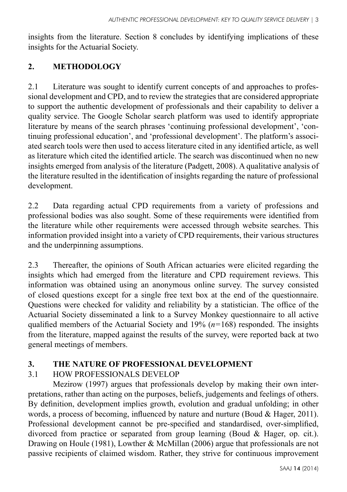insights from the literature. Section 8 concludes by identifying implications of these insights for the Actuarial Society.

## **2. METHODOLOGY**

2.1 Literature was sought to identify current concepts of and approaches to professional development and CPD, and to review the strategies that are considered appropriate to support the authentic development of professionals and their capability to deliver a quality service. The Google Scholar search platform was used to identify appropriate literature by means of the search phrases 'continuing professional development', 'continuing professional education', and 'professional development'. The platform's associated search tools were then used to access literature cited in any identified article, as well as literature which cited the identified article. The search was discontinued when no new insights emerged from analysis of the literature (Padgett, 2008). A qualitative analysis of the literature resulted in the identification of insights regarding the nature of professional development.

2.2 Data regarding actual CPD requirements from a variety of professions and professional bodies was also sought. Some of these requirements were identified from the literature while other requirements were accessed through website searches. This information provided insight into a variety of CPD requirements, their various structures and the underpinning assumptions.

2.3 Thereafter, the opinions of South African actuaries were elicited regarding the insights which had emerged from the literature and CPD requirement reviews. This information was obtained using an anonymous online survey. The survey consisted of closed questions except for a single free text box at the end of the questionnaire. Questions were checked for validity and reliability by a statistician. The office of the Actuarial Society disseminated a link to a Survey Monkey questionnaire to all active qualified members of the Actuarial Society and 19% (*n*=168) responded. The insights from the literature, mapped against the results of the survey, were reported back at two general meetings of members.

## **3. THE NATURE OF PROFESSIONAL DEVELOPMENT**

## 3.1 HOW PROFESSIONALS DEVELOP

Mezirow (1997) argues that professionals develop by making their own interpretations, rather than acting on the purposes, beliefs, judgements and feelings of others. By definition, development implies growth, evolution and gradual unfolding; in other words, a process of becoming, influenced by nature and nurture (Boud & Hager, 2011). Professional development cannot be pre-specified and standardised, over-simplified, divorced from practice or separated from group learning (Boud & Hager, op. cit.). Drawing on Houle (1981), Lowther & McMillan (2006) argue that professionals are not passive recipients of claimed wisdom. Rather, they strive for continuous improvement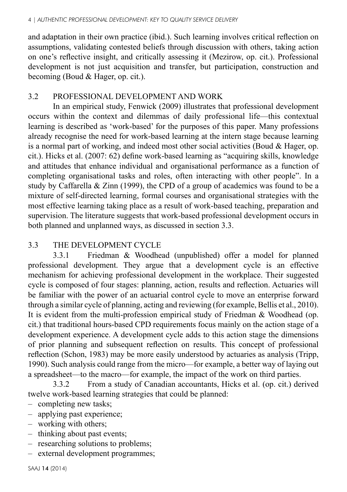and adaptation in their own practice (ibid.). Such learning involves critical reflection on assumptions, validating contested beliefs through discussion with others, taking action on one's reflective insight, and critically assessing it (Mezirow, op. cit.). Professional development is not just acquisition and transfer, but participation, construction and becoming (Boud & Hager, op. cit.).

## 3.2 PROFESSIONAL DEVELOPMENT AND WORK

In an empirical study, Fenwick (2009) illustrates that professional development occurs within the context and dilemmas of daily professional life—this contextual learning is described as 'work-based' for the purposes of this paper. Many professions already recognise the need for work-based learning at the intern stage because learning is a normal part of working, and indeed most other social activities (Boud & Hager, op. cit.). Hicks et al. (2007: 62) define work-based learning as "acquiring skills, knowledge and attitudes that enhance individual and organisational performance as a function of completing organisational tasks and roles, often interacting with other people". In a study by Caffarella & Zinn (1999), the CPD of a group of academics was found to be a mixture of self-directed learning, formal courses and organisational strategies with the most effective learning taking place as a result of work-based teaching, preparation and supervision. The literature suggests that work-based professional development occurs in both planned and unplanned ways, as discussed in section 3.3.

## 3.3 THE DEVELOPMENT CYCLE

3.3.1 Friedman & Woodhead (unpublished) offer a model for planned professional development. They argue that a development cycle is an effective mechanism for achieving professional development in the workplace. Their suggested cycle is composed of four stages: planning, action, results and reflection. Actuaries will be familiar with the power of an actuarial control cycle to move an enterprise forward through a similar cycle of planning, acting and reviewing (for example, Bellis et al., 2010). It is evident from the multi-profession empirical study of Friedman & Woodhead (op. cit.) that traditional hours-based CPD requirements focus mainly on the action stage of a development experience. A development cycle adds to this action stage the dimensions of prior planning and subsequent reflection on results. This concept of professional reflection (Schon, 1983) may be more easily understood by actuaries as analysis (Tripp, 1990). Such analysis could range from the micro—for example, a better way of laying out a spreadsheet—to the macro—for example, the impact of the work on third parties.

3.3.2 From a study of Canadian accountants, Hicks et al. (op. cit.) derived twelve work-based learning strategies that could be planned:

- completing new tasks;
- applying past experience;
- working with others;
- thinking about past events;
- researching solutions to problems;
- external development programmes;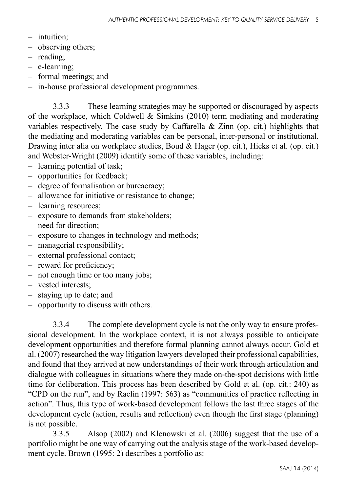- intuition;
- observing others;
- reading;
- e-learning;
- formal meetings; and
- in-house professional development programmes.

3.3.3 These learning strategies may be supported or discouraged by aspects of the workplace, which Coldwell  $\&$  Simkins (2010) term mediating and moderating variables respectively. The case study by Caffarella  $\&$  Zinn (op. cit.) highlights that the mediating and moderating variables can be personal, inter-personal or institutional. Drawing inter alia on workplace studies, Boud & Hager (op. cit.), Hicks et al. (op. cit.) and Webster-Wright (2009) identify some of these variables, including:

- learning potential of task;
- opportunities for feedback;
- degree of formalisation or bureacracy;
- allowance for initiative or resistance to change;
- learning resources;
- exposure to demands from stakeholders;
- need for direction;
- exposure to changes in technology and methods;
- managerial responsibility;
- external professional contact;
- reward for proficiency;
- not enough time or too many jobs;
- vested interests;
- staying up to date; and
- opportunity to discuss with others.

3.3.4 The complete development cycle is not the only way to ensure professional development. In the workplace context, it is not always possible to anticipate development opportunities and therefore formal planning cannot always occur. Gold et al. (2007) researched the way litigation lawyers developed their professional capabilities, and found that they arrived at new understandings of their work through articulation and dialogue with colleagues in situations where they made on-the-spot decisions with little time for deliberation. This process has been described by Gold et al. (op. cit.: 240) as "CPD on the run", and by Raelin (1997: 563) as "communities of practice reflecting in action". Thus, this type of work-based development follows the last three stages of the development cycle (action, results and reflection) even though the first stage (planning) is not possible.

3.3.5 Alsop (2002) and Klenowski et al. (2006) suggest that the use of a portfolio might be one way of carrying out the analysis stage of the work-based development cycle. Brown (1995: 2) describes a portfolio as: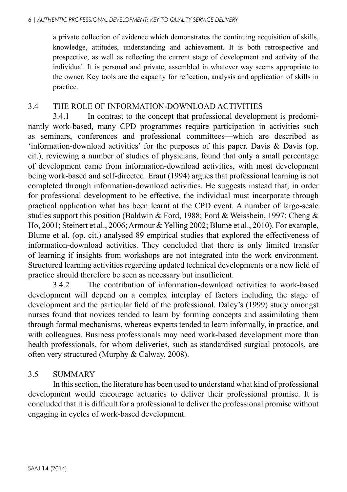a private collection of evidence which demonstrates the continuing acquisition of skills, knowledge, attitudes, understanding and achievement. It is both retrospective and prospective, as well as reflecting the current stage of development and activity of the individual. It is personal and private, assembled in whatever way seems appropriate to the owner. Key tools are the capacity for reflection, analysis and application of skills in practice.

## 3.4 THE ROLE OF INFORMATION-DOWNLOAD ACTIVITIES

3.4.1 In contrast to the concept that professional development is predominantly work-based, many CPD programmes require participation in activities such as seminars, conferences and professional committees—which are described as 'information-download activities' for the purposes of this paper. Davis & Davis (op. cit.), reviewing a number of studies of physicians, found that only a small percentage of development came from information-download activities, with most development being work-based and self-directed. Eraut (1994) argues that professional learning is not completed through information-download activities. He suggests instead that, in order for professional development to be effective, the individual must incorporate through practical application what has been learnt at the CPD event. A number of large-scale studies support this position (Baldwin & Ford, 1988; Ford & Weissbein, 1997; Cheng & Ho, 2001; Steinert et al., 2006; Armour & Yelling 2002; Blume et al., 2010). For example, Blume et al. (op. cit.) analysed 89 empirical studies that explored the effectiveness of information-download activities. They concluded that there is only limited transfer of learning if insights from workshops are not integrated into the work environment. Structured learning activities regarding updated technical developments or a new field of practice should therefore be seen as necessary but insufficient.

3.4.2 The contribution of information-download activities to work-based development will depend on a complex interplay of factors including the stage of development and the particular field of the professional. Daley's (1999) study amongst nurses found that novices tended to learn by forming concepts and assimilating them through formal mechanisms, whereas experts tended to learn informally, in practice, and with colleagues. Business professionals may need work-based development more than health professionals, for whom deliveries, such as standardised surgical protocols, are often very structured (Murphy & Calway, 2008).

## 3.5 SUMMARY

In this section, the literature has been used to understand what kind of professional development would encourage actuaries to deliver their professional promise. It is concluded that it is difficult for a professional to deliver the professional promise without engaging in cycles of work-based development.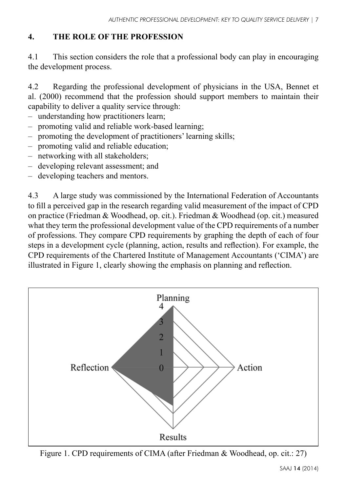## **4. THE ROLE OF THE PROFESSION**

4.1 This section considers the role that a professional body can play in encouraging the development process.

4.2 Regarding the professional development of physicians in the USA, Bennet et al. (2000) recommend that the profession should support members to maintain their capability to deliver a quality service through:

- understanding how practitioners learn;
- promoting valid and reliable work-based learning;
- promoting the development of practitioners' learning skills;
- promoting valid and reliable education;
- networking with all stakeholders;
- developing relevant assessment; and
- developing teachers and mentors.

4.3 A large study was commissioned by the International Federation of Accountants to fill a perceived gap in the research regarding valid measurement of the impact of CPD on practice (Friedman & Woodhead, op. cit.). Friedman & Woodhead (op. cit.) measured what they term the professional development value of the CPD requirements of a number of professions. They compare CPD requirements by graphing the depth of each of four steps in a development cycle (planning, action, results and reflection). For example, the CPD requirements of the Chartered Institute of Management Accountants ('CIMA') are illustrated in Figure 1, clearly showing the emphasis on planning and reflection.



Figure 1. CPD requirements of CIMA (after Friedman & Woodhead, op. cit.: 27)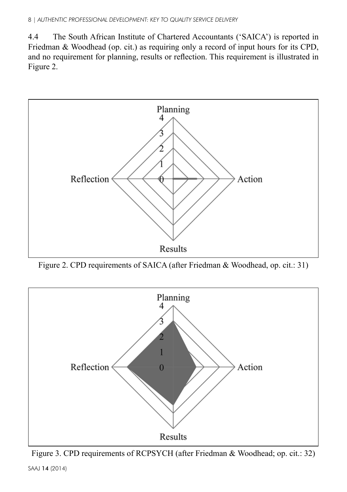4.4 The South African Institute of Chartered Accountants ('SAICA') is reported in Friedman & Woodhead (op. cit.) as requiring only a record of input hours for its CPD, and no requirement for planning, results or reflection. This requirement is illustrated in Figure 2.



Figure 2. CPD requirements of SAICA (after Friedman & Woodhead, op. cit.: 31)



SAAJ 14 (2014) Figure 3. CPD requirements of RCPSYCH (after Friedman & Woodhead; op. cit.: 32)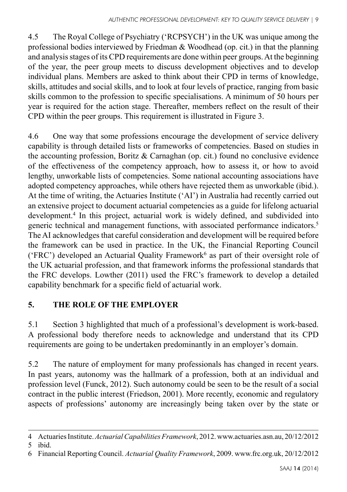4.5 The Royal College of Psychiatry ('RCPSYCH') in the UK was unique among the professional bodies interviewed by Friedman & Woodhead (op. cit.) in that the planning and analysis stages of its CPD requirements are done within peer groups. At the beginning of the year, the peer group meets to discuss development objectives and to develop individual plans. Members are asked to think about their CPD in terms of knowledge, skills, attitudes and social skills, and to look at four levels of practice, ranging from basic skills common to the profession to specific specialisations. A minimum of 50 hours per year is required for the action stage. Thereafter, members reflect on the result of their CPD within the peer groups. This requirement is illustrated in Figure 3.

4.6 One way that some professions encourage the development of service delivery capability is through detailed lists or frameworks of competencies. Based on studies in the accounting profession, Boritz & Carnaghan (op. cit.) found no conclusive evidence of the effectiveness of the competency approach, how to assess it, or how to avoid lengthy, unworkable lists of competencies. Some national accounting associations have adopted competency approaches, while others have rejected them as unworkable (ibid.). At the time of writing, the Actuaries Institute ('AI') in Australia had recently carried out an extensive project to document actuarial competencies as a guide for lifelong actuarial development.<sup>4</sup> In this project, actuarial work is widely defined, and subdivided into generic technical and management functions, with associated performance indicators.<sup>5</sup> The AI acknowledges that careful consideration and development will be required before the framework can be used in practice. In the UK, the Financial Reporting Council ('FRC') developed an Actuarial Quality Framework<sup>6</sup> as part of their oversight role of the UK actuarial profession, and that framework informs the professional standards that the FRC develops. Lowther (2011) used the FRC's framework to develop a detailed capability benchmark for a specific field of actuarial work.

# **5. THE ROLE OF THE EMPLOYER**

5.1 Section 3 highlighted that much of a professional's development is work-based. A professional body therefore needs to acknowledge and understand that its CPD requirements are going to be undertaken predominantly in an employer's domain.

5.2 The nature of employment for many professionals has changed in recent years. In past years, autonomy was the hallmark of a profession, both at an individual and profession level (Funck, 2012). Such autonomy could be seen to be the result of a social contract in the public interest (Friedson, 2001). More recently, economic and regulatory aspects of professions' autonomy are increasingly being taken over by the state or

<sup>4</sup> Actuaries Institute. *Actuarial Capabilities Framework*, 2012. www.actuaries.asn.au, 20/12/2012

<sup>5</sup> ibid.

<sup>6</sup> Financial Reporting Council. *Actuarial Quality Framework*, 2009. www.frc.org.uk, 20/12/2012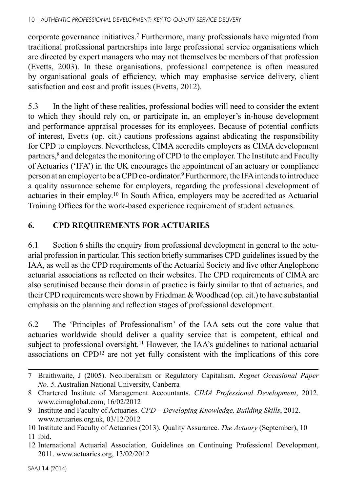#### 10 | *AUTHENTIC PROFESSIONAL DEVELOPMENT: KEY TO QUALITY SERVICE DELIVERY*

corporate governance initiatives.7 Furthermore, many professionals have migrated from traditional professional partnerships into large professional service organisations which are directed by expert managers who may not themselves be members of that profession (Evetts, 2003). In these organisations, professional competence is often measured by organisational goals of efficiency, which may emphasise service delivery, client satisfaction and cost and profit issues (Evetts, 2012).

5.3 In the light of these realities, professional bodies will need to consider the extent to which they should rely on, or participate in, an employer's in-house development and performance appraisal processes for its employees. Because of potential conflicts of interest, Evetts (op. cit.) cautions professions against abdicating the responsibility for CPD to employers. Nevertheless, CIMA accredits employers as CIMA development partners,<sup>8</sup> and delegates the monitoring of CPD to the employer. The Institute and Faculty of Actuaries ('IFA') in the UK encourages the appointment of an actuary or compliance person at an employer to be a CPD co-ordinator.9 Furthermore, the IFA intends to introduce a quality assurance scheme for employers, regarding the professional development of actuaries in their employ.10 In South Africa, employers may be accredited as Actuarial Training Offices for the work-based experience requirement of student actuaries.

## **6. CPD REQUIREMENTS FOR ACTUARIES**

6.1 Section 6 shifts the enquiry from professional development in general to the actuarial profession in particular. This section briefly summarises CPD guidelines issued by the IAA, as well as the CPD requirements of the Actuarial Society and five other Anglophone actuarial associations as reflected on their websites. The CPD requirements of CIMA are also scrutinised because their domain of practice is fairly similar to that of actuaries, and their CPD requirements were shown by Friedman & Woodhead (op. cit.) to have substantial emphasis on the planning and reflection stages of professional development.

6.2 The 'Principles of Professionalism' of the IAA sets out the core value that actuaries worldwide should deliver a quality service that is competent, ethical and subject to professional oversight.<sup>11</sup> However, the IAA's guidelines to national actuarial associations on CPD12 are not yet fully consistent with the implications of this core

- 10 Institute and Faculty of Actuaries (2013). Quality Assurance. *The Actuary* (September), 10 11 ibid.
- 12 International Actuarial Association. Guidelines on Continuing Professional Development, 2011. www.actuaries.org, 13/02/2012

<sup>7</sup> Braithwaite, J (2005). Neoliberalism or Regulatory Capitalism. *Regnet Occasional Paper No. 5*. Australian National University, Canberra

<sup>8</sup> Chartered Institute of Management Accountants. *CIMA Professional Development*, 2012*.* www.cimaglobal.com, 16/02/2012

<sup>9</sup> Institute and Faculty of Actuaries. *CPD – Developing Knowledge, Building Skills*, 2012. www.actuaries.org.uk, 03/12/2012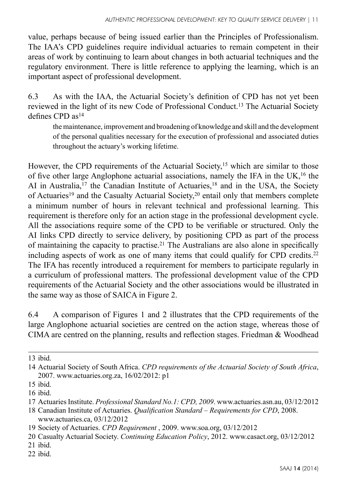value, perhaps because of being issued earlier than the Principles of Professionalism. The IAA's CPD guidelines require individual actuaries to remain competent in their areas of work by continuing to learn about changes in both actuarial techniques and the regulatory environment. There is little reference to applying the learning, which is an important aspect of professional development.

6.3 As with the IAA, the Actuarial Society's definition of CPD has not yet been reviewed in the light of its new Code of Professional Conduct.13 The Actuarial Society defines CPD as14

the maintenance, improvement and broadening of knowledge and skill and the development of the personal qualities necessary for the execution of professional and associated duties throughout the actuary's working lifetime.

However, the CPD requirements of the Actuarial Society,<sup>15</sup> which are similar to those of five other large Anglophone actuarial associations, namely the IFA in the UK,16 the AI in Australia,<sup>17</sup> the Canadian Institute of Actuaries,<sup>18</sup> and in the USA, the Society of Actuaries<sup>19</sup> and the Casualty Actuarial Society,<sup>20</sup> entail only that members complete a minimum number of hours in relevant technical and professional learning. This requirement is therefore only for an action stage in the professional development cycle. All the associations require some of the CPD to be verifiable or structured. Only the AI links CPD directly to service delivery, by positioning CPD as part of the process of maintaining the capacity to practise.21 The Australians are also alone in specifically including aspects of work as one of many items that could qualify for CPD credits.<sup>22</sup> The IFA has recently introduced a requirement for members to participate regularly in a curriculum of professional matters. The professional development value of the CPD requirements of the Actuarial Society and the other associations would be illustrated in the same way as those of SAICA in Figure 2.

6.4 A comparison of Figures 1 and 2 illustrates that the CPD requirements of the large Anglophone actuarial societies are centred on the action stage, whereas those of CIMA are centred on the planning, results and reflection stages. Friedman & Woodhead

<sup>13</sup> ibid.

<sup>14</sup> Actuarial Society of South Africa. *CPD requirements of the Actuarial Society of South Africa*, 2007. www.actuaries.org.za, 16/02/2012: p1

<sup>15</sup> ibid.

<sup>16</sup> ibid.

<sup>17</sup> Actuaries Institute. *Professional Standard No.1: CPD, 2009*. www.actuaries.asn.au, 03/12/2012

<sup>18</sup> Canadian Institute of Actuaries. *Qualification Standard – Requirements for CPD*, 2008. www.actuaries.ca. 03/12/2012

<sup>19</sup> Society of Actuaries. *CPD Requirement* , 2009. www.soa.org, 03/12/2012

<sup>20</sup> Casualty Actuarial Society. *Continuing Education Policy*, 2012. www.casact.org, 03/12/2012

<sup>21</sup> ibid.

<sup>22</sup> ibid.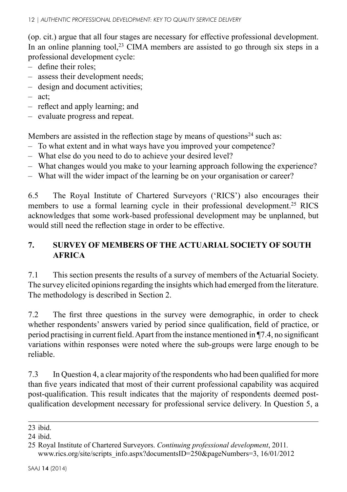(op. cit.) argue that all four stages are necessary for effective professional development. In an online planning tool,<sup>23</sup> CIMA members are assisted to go through six steps in a professional development cycle:

- define their roles;
- assess their development needs;
- design and document activities;
- act;
- reflect and apply learning; and
- evaluate progress and repeat.

Members are assisted in the reflection stage by means of questions<sup>24</sup> such as:

- To what extent and in what ways have you improved your competence?
- What else do you need to do to achieve your desired level?
- What changes would you make to your learning approach following the experience?
- What will the wider impact of the learning be on your organisation or career?

6.5 The Royal Institute of Chartered Surveyors ('RICS') also encourages their members to use a formal learning cycle in their professional development.<sup>25</sup> RICS acknowledges that some work-based professional development may be unplanned, but would still need the reflection stage in order to be effective.

# **7. SURVEY OF MEMBERS OF THE ACTUARIAL SOCIETY OF SOUTH AFRICA**

7.1 This section presents the results of a survey of members of the Actuarial Society. The survey elicited opinions regarding the insights which had emerged from the literature. The methodology is described in Section 2.

7.2 The first three questions in the survey were demographic, in order to check whether respondents' answers varied by period since qualification, field of practice, or period practising in current field. Apart from the instance mentioned in ¶7.4, no significant variations within responses were noted where the sub-groups were large enough to be reliable.

7.3 In Question 4, a clear majority of the respondents who had been qualified for more than five years indicated that most of their current professional capability was acquired post-qualification. This result indicates that the majority of respondents deemed postqualification development necessary for professional service delivery. In Question 5, a

<sup>23</sup> ibid.

<sup>24</sup> ibid.

<sup>25</sup> Royal Institute of Chartered Surveyors. *Continuing professional development*, 2011*.* www.rics.org/site/scripts\_info.aspx?documentsID=250&pageNumbers=3, 16/01/2012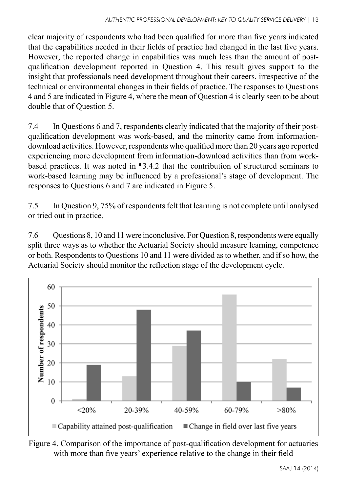clear majority of respondents who had been qualified for more than five years indicated that the capabilities needed in their fields of practice had changed in the last five years. However, the reported change in capabilities was much less than the amount of postqualification development reported in Question 4. This result gives support to the insight that professionals need development throughout their careers, irrespective of the technical or environmental changes in their fields of practice. The responses to Questions 4 and 5 are indicated in Figure 4, where the mean of Question 4 is clearly seen to be about double that of Question 5.

7.4 In Questions 6 and 7, respondents clearly indicated that the majority of their postqualification development was work-based, and the minority came from informationdownload activities. However, respondents who qualified more than 20 years ago reported experiencing more development from information-download activities than from workbased practices. It was noted in ¶3.4.2 that the contribution of structured seminars to work-based learning may be influenced by a professional's stage of development. The responses to Questions 6 and 7 are indicated in Figure 5.

7.5 In Question 9, 75% of respondents felt that learning is not complete until analysed or tried out in practice.

7.6 Questions 8, 10 and 11 were inconclusive. For Question 8, respondents were equally split three ways as to whether the Actuarial Society should measure learning, competence or both. Respondents to Questions 10 and 11 were divided as to whether, and if so how, the Actuarial Society should monitor the reflection stage of the development cycle.



Figure 4. Comparison of the importance of post-qualification development for actuaries with more than five years' experience relative to the change in their field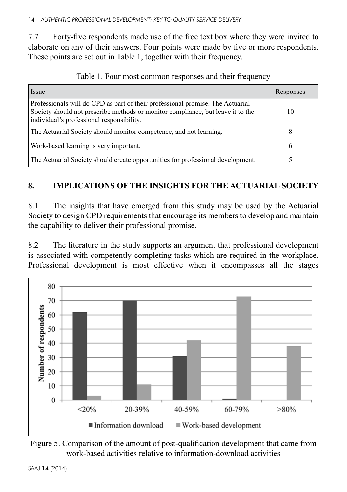7.7 Forty-five respondents made use of the free text box where they were invited to elaborate on any of their answers. Four points were made by five or more respondents. These points are set out in Table 1, together with their frequency.

| Issue                                                                                                                                                                                                          | Responses |
|----------------------------------------------------------------------------------------------------------------------------------------------------------------------------------------------------------------|-----------|
| Professionals will do CPD as part of their professional promise. The Actuarial<br>Society should not prescribe methods or monitor compliance, but leave it to the<br>individual's professional responsibility. | 10        |
| The Actuarial Society should monitor competence, and not learning.                                                                                                                                             | 8         |
| Work-based learning is very important.                                                                                                                                                                         | 6         |
| The Actuarial Society should create opportunities for professional development.                                                                                                                                |           |

|  |  |  |  |  |  |  | Table 1. Four most common responses and their frequency |
|--|--|--|--|--|--|--|---------------------------------------------------------|
|--|--|--|--|--|--|--|---------------------------------------------------------|

# **8. IMPLICATIONS OF THE INSIGHTS FOR THE ACTUARIAL SOCIETY**

8.1 The insights that have emerged from this study may be used by the Actuarial Society to design CPD requirements that encourage its members to develop and maintain the capability to deliver their professional promise.

8.2 The literature in the study supports an argument that professional development is associated with competently completing tasks which are required in the workplace. Professional development is most effective when it encompasses all the stages



Figure 5. Comparison of the amount of post-qualification development that came from work-based activities relative to information-download activities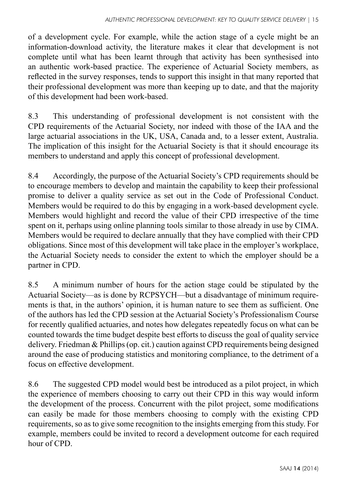of a development cycle. For example, while the action stage of a cycle might be an information-download activity, the literature makes it clear that development is not complete until what has been learnt through that activity has been synthesised into an authentic work-based practice. The experience of Actuarial Society members, as reflected in the survey responses, tends to support this insight in that many reported that their professional development was more than keeping up to date, and that the majority of this development had been work-based.

8.3 This understanding of professional development is not consistent with the CPD requirements of the Actuarial Society, nor indeed with those of the IAA and the large actuarial associations in the UK, USA, Canada and, to a lesser extent, Australia. The implication of this insight for the Actuarial Society is that it should encourage its members to understand and apply this concept of professional development.

8.4 Accordingly, the purpose of the Actuarial Society's CPD requirements should be to encourage members to develop and maintain the capability to keep their professional promise to deliver a quality service as set out in the Code of Professional Conduct. Members would be required to do this by engaging in a work-based development cycle. Members would highlight and record the value of their CPD irrespective of the time spent on it, perhaps using online planning tools similar to those already in use by CIMA. Members would be required to declare annually that they have complied with their CPD obligations. Since most of this development will take place in the employer's workplace, the Actuarial Society needs to consider the extent to which the employer should be a partner in CPD.

8.5 A minimum number of hours for the action stage could be stipulated by the Actuarial Society—as is done by RCPSYCH—but a disadvantage of minimum requirements is that, in the authors' opinion, it is human nature to see them as sufficient. One of the authors has led the CPD session at the Actuarial Society's Professionalism Course for recently qualified actuaries, and notes how delegates repeatedly focus on what can be counted towards the time budget despite best efforts to discuss the goal of quality service delivery. Friedman & Phillips (op. cit.) caution against CPD requirements being designed around the ease of producing statistics and monitoring compliance, to the detriment of a focus on effective development.

8.6 The suggested CPD model would best be introduced as a pilot project, in which the experience of members choosing to carry out their CPD in this way would inform the development of the process. Concurrent with the pilot project, some modifications can easily be made for those members choosing to comply with the existing CPD requirements, so as to give some recognition to the insights emerging from this study. For example, members could be invited to record a development outcome for each required hour of CPD.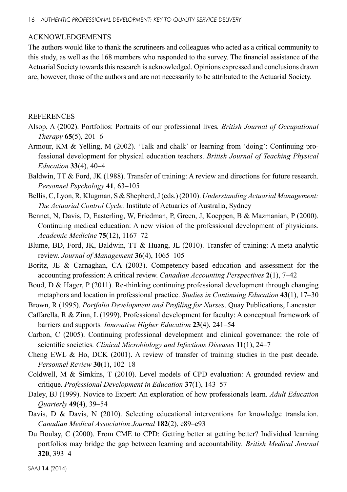#### ACKNOWLEDGEMENTS

The authors would like to thank the scrutineers and colleagues who acted as a critical community to this study, as well as the 168 members who responded to the survey. The financial assistance of the Actuarial Society towards this research is acknowledged. Opinions expressed and conclusions drawn are, however, those of the authors and are not necessarily to be attributed to the Actuarial Society.

#### **REFERENCES**

- Alsop, A (2002). Portfolios: Portraits of our professional lives*. British Journal of Occupational Therapy* **65**(5), 201–6
- Armour, KM & Yelling, M (2002). 'Talk and chalk' or learning from 'doing': Continuing professional development for physical education teachers. *British Journal of Teaching Physical Education* **33**(4), 40–4
- Baldwin, TT & Ford, JK (1988). Transfer of training: A review and directions for future research. *Personnel Psychology* **41**, 63–105
- Bellis, C, Lyon, R, Klugman, S & Shepherd, J (eds.) (2010). *Understanding Actuarial Management: The Actuarial Control Cycle.* Institute of Actuaries of Australia, Sydney
- Bennet, N, Davis, D, Easterling, W, Friedman, P, Green, J, Koeppen, B & Mazmanian, P (2000). Continuing medical education: A new vision of the professional development of physicians*. Academic Medicine* **75**(12), 1167–72

Blume, BD, Ford, JK, Baldwin, TT & Huang, JL (2010). Transfer of training: A meta-analytic review. *Journal of Management* **36**(4), 1065–105

- Boritz, JE & Carnaghan, CA (2003). Competency-based education and assessment for the accounting profession: A critical review. *Canadian Accounting Perspectives* **2**(1), 7–42
- Boud, D & Hager, P (2011). Re-thinking continuing professional development through changing metaphors and location in professional practice. *Studies in Continuing Education* **43**(1), 17–30

Brown, R (1995). *Portfolio Development and Profiling for Nurses*. Quay Publications, Lancaster

- Caffarella, R & Zinn, L (1999). Professional development for faculty: A conceptual framework of barriers and supports*. Innovative Higher Education* **23**(4), 241–54
- Carbon, C (2005). Continuing professional development and clinical governance: the role of scientific societies*. Clinical Microbiology and Infectious Diseases* **11**(1), 24–7
- Cheng EWL & Ho, DCK (2001). A review of transfer of training studies in the past decade. *Personnel Review* **30**(1), 102–18
- Coldwell, M & Simkins, T (2010). Level models of CPD evaluation: A grounded review and critique. *Professional Development in Education* **37**(1), 143–57
- Daley, BJ (1999). Novice to Expert: An exploration of how professionals learn. *Adult Education Quarterly* **49**(4), 39–54
- Davis, D & Davis, N (2010). Selecting educational interventions for knowledge translation. *Canadian Medical Association Journal* **182**(2), e89–e93
- Du Boulay, C (2000). From CME to CPD: Getting better at getting better? Individual learning portfolios may bridge the gap between learning and accountability*. British Medical Journal* **320**, 393–4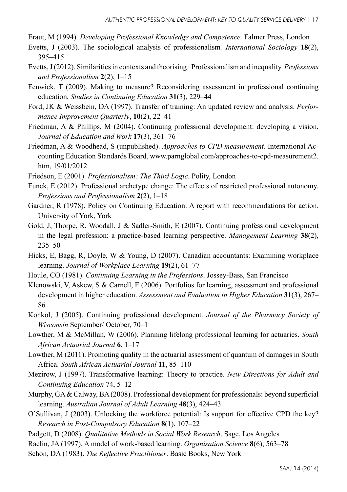Eraut, M (1994). *Developing Professional Knowledge and Competence.* Falmer Press, London

- Evetts, J (2003). The sociological analysis of professionalism*. International Sociology* **18**(2), 395–415
- Evetts, J (2012). Similarities in contexts and theorising : Professionalism and inequality. *Professions and Professionalism* **2**(2), 1–15
- Fenwick, T (2009). Making to measure? Reconsidering assessment in professional continuing education*. Studies in Continuing Education* **31**(3), 229–44
- Ford, JK & Weissbein, DA (1997). Transfer of training: An updated review and analysis. *Performance Improvement Quarterly*, **10**(2), 22–41
- Friedman, A & Phillips, M (2004). Continuing professional development: developing a vision. *Journal of Education and Work* **17**(3), 361–76
- Friedman, A & Woodhead, S (unpublished). *Approaches to CPD measurement*. International Accounting Education Standards Board, www.parnglobal.com/approaches-to-cpd-measurement2. htm, 19/01/2012

Friedson, E (2001). *Professionalism: The Third Logic*. Polity, London

- Funck, E (2012). Professional archetype change: The effects of restricted professional autonomy. *Professions and Professionalism* **2**(2), 1–18
- Gardner, R (1978). Policy on Continuing Education: A report with recommendations for action. University of York, York
- Gold, J, Thorpe, R, Woodall, J & Sadler-Smith, E (2007). Continuing professional development in the legal profession: a practice-based learning perspective. *Management Learning* **38**(2), 235–50
- Hicks, E, Bagg, R, Doyle, W & Young, D (2007). Canadian accountants: Examining workplace learning. *Journal of Workplace Learning* **19**(2), 61–77
- Houle, CO (1981). *Continuing Learning in the Professions*. Jossey-Bass, San Francisco
- Klenowski, V, Askew, S & Carnell, E (2006). Portfolios for learning, assessment and professional development in higher education. *Assessment and Evaluation in Higher Education* **31**(3), 267– 86
- Konkol, J (2005). Continuing professional development. *Journal of the Pharmacy Society of Wisconsin* September/ October, 70–1
- Lowther, M & McMillan, W (2006). Planning lifelong professional learning for actuaries. *South African Actuarial Journal* **6**, 1–17
- Lowther, M (2011). Promoting quality in the actuarial assessment of quantum of damages in South Africa. *South African Actuarial Journal* **11**, 85–110
- Mezirow, J (1997). Transformative learning: Theory to practice. *New Directions for Adult and Continuing Education* 74, 5–12
- Murphy, GA & Calway, BA (2008). Professional development for professionals: beyond superficial learning. *Australian Journal of Adult Learning* **48**(3), 424–43
- O'Sullivan, J (2003). Unlocking the workforce potential: Is support for effective CPD the key? *Research in Post-Compulsory Education* **8**(1), 107–22
- Padgett, D (2008). *Qualitative Methods in Social Work Research*. Sage, Los Angeles
- Raelin, JA (1997). A model of work-based learning. *Organisation Science* **8**(6), 563–78
- Schon, DA (1983). *The Reflective Practitioner*. Basic Books, New York